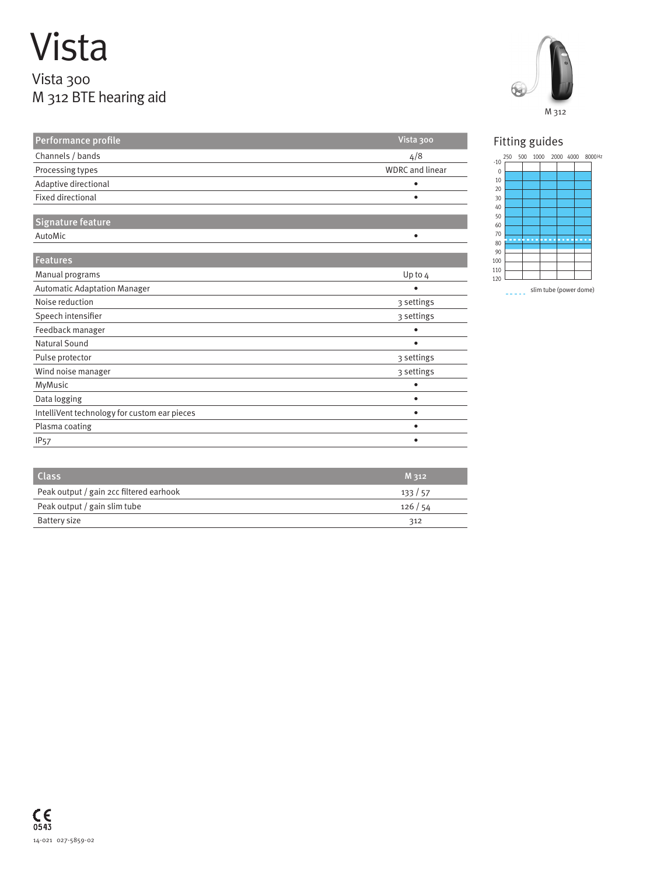## Vista Vista 300 M 312 BTE hearing aid

| Performance profile                          | Vista 300              |
|----------------------------------------------|------------------------|
| Channels / bands                             | 4/8                    |
| Processing types                             | <b>WDRC</b> and linear |
| Adaptive directional                         |                        |
| <b>Fixed directional</b>                     | ٠                      |
| <b>Signature feature</b>                     |                        |
| AutoMic                                      | $\bullet$              |
| Features                                     |                        |
| Manual programs                              | Up to 4                |
| <b>Automatic Adaptation Manager</b>          | ٠                      |
| Noise reduction                              | 3 settings             |
| Speech intensifier                           | 3 settings             |
| Feedback manager                             | ٠                      |
| Natural Sound                                |                        |
| Pulse protector                              | 3 settings             |
| Wind noise manager                           | 3 settings             |
| MyMusic                                      |                        |
| Data logging                                 | ٠                      |
| IntelliVent technology for custom ear pieces | ٠                      |
| Plasma coating                               | ٠                      |
| <b>IP<sub>57</sub></b>                       | ٠                      |

| <b>Class</b>                            | M 312  |
|-----------------------------------------|--------|
| Peak output / gain 2cc filtered earhook | 133/57 |
| Peak output / gain slim tube            | 126/54 |
| Battery size                            | 312    |



Hz



slim tube (power dome)  $\omega$  is  $\omega$  in .